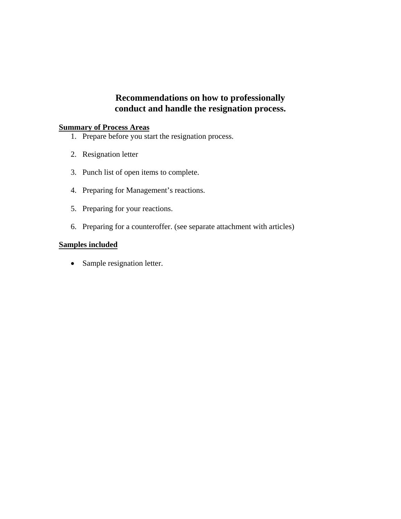# **Recommendations on how to professionally conduct and handle the resignation process.**

# **Summary of Process Areas**

- 1. Prepare before you start the resignation process.
- 2. Resignation letter
- 3. Punch list of open items to complete.
- 4. Preparing for Management's reactions.
- 5. Preparing for your reactions.
- 6. Preparing for a counteroffer. (see separate attachment with articles)

#### **Samples included**

• Sample resignation letter.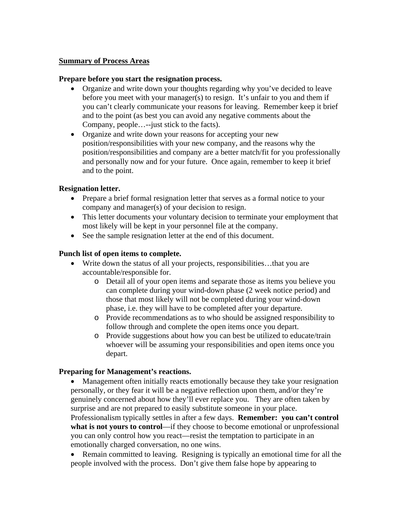#### **Summary of Process Areas**

### **Prepare before you start the resignation process.**

- Organize and write down your thoughts regarding why you've decided to leave before you meet with your manager(s) to resign. It's unfair to you and them if you can't clearly communicate your reasons for leaving. Remember keep it brief and to the point (as best you can avoid any negative comments about the Company, people…--just stick to the facts).
- Organize and write down your reasons for accepting your new position/responsibilities with your new company, and the reasons why the position/responsibilities and company are a better match/fit for you professionally and personally now and for your future. Once again, remember to keep it brief and to the point.

# **Resignation letter.**

- Prepare a brief formal resignation letter that serves as a formal notice to your company and manager(s) of your decision to resign.
- This letter documents your voluntary decision to terminate your employment that most likely will be kept in your personnel file at the company.
- See the sample resignation letter at the end of this document.

# **Punch list of open items to complete.**

- Write down the status of all your projects, responsibilities…that you are accountable/responsible for.
	- o Detail all of your open items and separate those as items you believe you can complete during your wind-down phase (2 week notice period) and those that most likely will not be completed during your wind-down phase, i.e. they will have to be completed after your departure.
	- o Provide recommendations as to who should be assigned responsibility to follow through and complete the open items once you depart.
	- o Provide suggestions about how you can best be utilized to educate/train whoever will be assuming your responsibilities and open items once you depart.

#### **Preparing for Management's reactions.**

• Management often initially reacts emotionally because they take your resignation personally, or they fear it will be a negative reflection upon them, and/or they're genuinely concerned about how they'll ever replace you. They are often taken by surprise and are not prepared to easily substitute someone in your place. Professionalism typically settles in after a few days. **Remember: you can't control what is not yours to control**—if they choose to become emotional or unprofessional you can only control how you react—resist the temptation to participate in an emotionally charged conversation, no one wins.

 Remain committed to leaving. Resigning is typically an emotional time for all the people involved with the process. Don't give them false hope by appearing to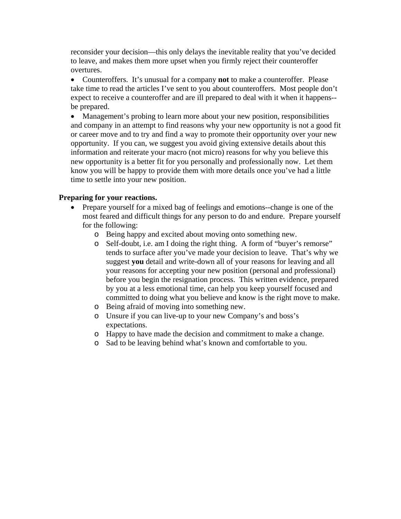reconsider your decision—this only delays the inevitable reality that you've decided to leave, and makes them more upset when you firmly reject their counteroffer overtures.

 Counteroffers. It's unusual for a company **not** to make a counteroffer. Please take time to read the articles I've sent to you about counteroffers. Most people don't expect to receive a counteroffer and are ill prepared to deal with it when it happens- be prepared.

 Management's probing to learn more about your new position, responsibilities and company in an attempt to find reasons why your new opportunity is not a good fit or career move and to try and find a way to promote their opportunity over your new opportunity. If you can, we suggest you avoid giving extensive details about this information and reiterate your macro (not micro) reasons for why you believe this new opportunity is a better fit for you personally and professionally now. Let them know you will be happy to provide them with more details once you've had a little time to settle into your new position.

# **Preparing for your reactions.**

- Prepare yourself for a mixed bag of feelings and emotions--change is one of the most feared and difficult things for any person to do and endure. Prepare yourself for the following:
	- o Being happy and excited about moving onto something new.
	- o Self-doubt, i.e. am I doing the right thing. A form of "buyer's remorse" tends to surface after you've made your decision to leave. That's why we suggest **you** detail and write-down all of your reasons for leaving and all your reasons for accepting your new position (personal and professional) before you begin the resignation process. This written evidence, prepared by you at a less emotional time, can help you keep yourself focused and committed to doing what you believe and know is the right move to make.
	- o Being afraid of moving into something new.
	- o Unsure if you can live-up to your new Company's and boss's expectations.
	- o Happy to have made the decision and commitment to make a change.
	- o Sad to be leaving behind what's known and comfortable to you.